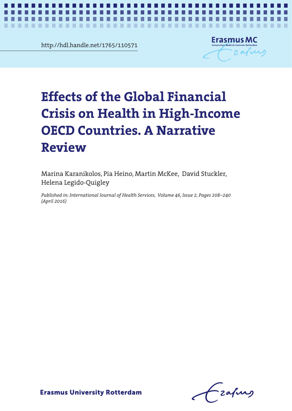http://hdl.handle.net/1765/110571

-----------

ш



*Effects of the financial crisis in OECD countries* **1**

# Effects of the Global Financial Crisis on Health in High-Income OECD **Effects of the Global Financial Crisis on Health in High-Income OECD Countries. A Narrative Review**

**The State** ٠ **COL COL THE** 

Marina Karanikolos, Pia Heino, Martin McKee, David Stuckler, Helena Legido-Quigley

*Published in: International Journal of Health Services, Volume 46, Issue 2, Pages 208–240 (April 2016)*

-zafurs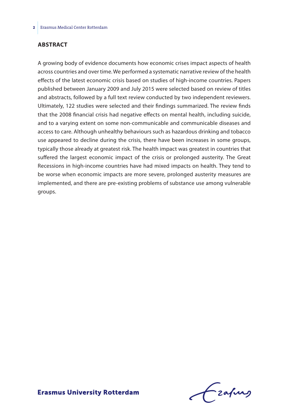### **Abstract**

A growing body of evidence documents how economic crises impact aspects of health across countries and over time. We performed a systematic narrative review of the health effects of the latest economic crisis based on studies of high-income countries. Papers published between January 2009 and July 2015 were selected based on review of titles and abstracts, followed by a full text review conducted by two independent reviewers. Ultimately, 122 studies were selected and their findings summarized. The review finds that the 2008 financial crisis had negative effects on mental health, including suicide, and to a varying extent on some non-communicable and communicable diseases and access to care. Although unhealthy behaviours such as hazardous drinking and tobacco use appeared to decline during the crisis, there have been increases in some groups, typically those already at greatest risk. The health impact was greatest in countries that suffered the largest economic impact of the crisis or prolonged austerity. The Great Recessions in high-income countries have had mixed impacts on health. They tend to be worse when economic impacts are more severe, prolonged austerity measures are implemented, and there are pre-existing problems of substance use among vulnerable groups.

Frafing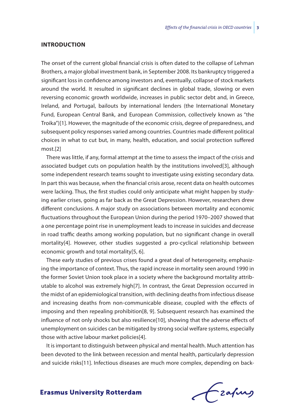#### **Introduction**

The onset of the current global financial crisis is often dated to the collapse of Lehman Brothers, a major global investment bank, in September 2008. Its bankruptcy triggered a significant loss in confidence among investors and, eventually, collapse of stock markets around the world. It resulted in significant declines in global trade, slowing or even reversing economic growth worldwide, increases in public sector debt and, in Greece, Ireland, and Portugal, bailouts by international lenders (the International Monetary Fund, European Central Bank, and European Commission, collectively known as "the Troika")[1]. However, the magnitude of the economic crisis, degree of preparedness, and subsequent policy responses varied among countries. Countries made different political choices in what to cut but, in many, health, education, and social protection suffered most.[2]

There was little, if any, formal attempt at the time to assess the impact of the crisis and associated budget cuts on population health by the institutions involved[3], although some independent research teams sought to investigate using existing secondary data. In part this was because, when the financial crisis arose, recent data on health outcomes were lacking. Thus, the first studies could only anticipate what might happen by studying earlier crises, going as far back as the Great Depression. However, researchers drew different conclusions. A major study on associations between mortality and economic fluctuations throughout the European Union during the period 1970–2007 showed that a one percentage point rise in unemployment leads to increase in suicides and decrease in road traffic deaths among working population, but no significant change in overall mortality[4]. However, other studies suggested a pro-cyclical relationship between economic growth and total mortality[5, 6].

These early studies of previous crises found a great deal of heterogeneity, emphasizing the importance of context. Thus, the rapid increase in mortality seen around 1990 in the former Soviet Union took place in a society where the background mortality attributable to alcohol was extremely high[7]. In contrast, the Great Depression occurred in the midst of an epidemiological transition, with declining deaths from infectious disease and increasing deaths from non-communicable disease, coupled with the effects of imposing and then repealing prohibition[8, 9]. Subsequent research has examined the influence of not only shocks but also resilience[10], showing that the adverse effects of unemployment on suicides can be mitigated by strong social welfare systems, especially those with active labour market policies[4].

It is important to distinguish between physical and mental health. Much attention has been devoted to the link between recession and mental health, particularly depression and suicide risks[11]. Infectious diseases are much more complex, depending on back-

frafing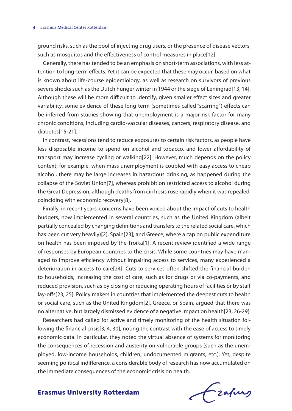ground risks, such as the pool of injecting drug users, or the presence of disease vectors, such as mosquitos and the effectiveness of control measures in place[12].

Generally, there has tended to be an emphasis on short-term associations, with less attention to long-term effects. Yet it can be expected that these may occur, based on what is known about life-course epidemiology, as well as research on survivors of previous severe shocks such as the Dutch hunger winter in 1944 or the siege of Leningrad[13, 14]. Although these will be more difficult to identify, given smaller effect sizes and greater variability, some evidence of these long-term (sometimes called "scarring") effects can be inferred from studies showing that unemployment is a major risk factor for many chronic conditions, including cardio-vascular diseases, cancers, respiratory disease, and diabetes[15-21].

In contrast, recessions tend to reduce exposures to certain risk factors, as people have less disposable income to spend on alcohol and tobacco, and lower affordability of transport may increase cycling or walking[22]. However, much depends on the policy context; for example, when mass unemployment is coupled with easy access to cheap alcohol, there may be large increases in hazardous drinking, as happened during the collapse of the Soviet Union[7], whereas prohibition restricted access to alcohol during the Great Depression, although deaths from cirrhosis rose rapidly when it was repealed, coinciding with economic recovery[8].

Finally, in recent years, concerns have been voiced about the impact of cuts to health budgets, now implemented in several countries, such as the United Kingdom (albeit partially concealed by changing definitions and transfers to the related social care, which has been cut very heavily)[2], Spain[23], and Greece, where a cap on public expenditure on health has been imposed by the Troika[1]. A recent review identified a wide range of responses by European countries to the crisis. While some countries may have managed to improve efficiency without impairing access to services, many experienced a deterioration in access to care[24]. Cuts to services often shifted the financial burden to households, increasing the cost of care, such as for drugs or via co-payments, and reduced provision, such as by closing or reducing operating hours of facilities or by staff lay-offs[23, 25]. Policy makers in countries that implemented the deepest cuts to health or social care, such as the United Kingdom[2], Greece, or Spain, argued that there was no alternative, but largely dismissed evidence of a negative impact on health[23, 26-29].

Researchers had called for active and timely monitoring of the health situation following the financial crisis[3, 4, 30], noting the contrast with the ease of access to timely economic data. In particular, they noted the virtual absence of systems for monitoring the consequences of recession and austerity on vulnerable groups (such as the unemployed, low-income households, children, undocumented migrants, etc.). Yet, despite seeming political indifference, a considerable body of research has now accumulated on the immediate consequences of the economic crisis on health.

frafing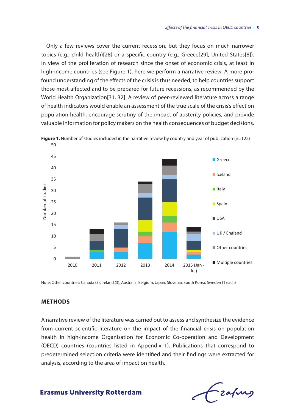Only a few reviews cover the current recession, but they focus on much narrower topics (e.g., child health)[28] or a specific country (e.g., Greece[29], United States[8]). In view of the proliferation of research since the onset of economic crisis, at least in high-income countries (see Figure 1), here we perform a narrative review. A more profound understanding of the effects of the crisis is thus needed, to help countries support those most affected and to be prepared for future recessions, as recommended by the World Health Organization[31, 32]. A review of peer-reviewed literature across a range of health indicators would enable an assessment of the true scale of the crisis's effect on population health, encourage scrutiny of the impact of austerity policies, and provide valuable information for policy makers on the health consequences of budget decisions.





Note: Other countries: Canada (5), Ireland (3), Australia, Belgium, Japan, Slovenia, South Korea, Sweden (1 each)

# **Methods**

A narrative review of the literature was carried out to assess and synthesize the evidence from current scientific literature on the impact of the financial crisis on population health in high-income Organisation for Economic Co-operation and Development (OECD) countries (countries listed in Appendix 1). Publications that correspond to predetermined selection criteria were identified and their findings were extracted for analysis, according to the area of impact on health.

- zafung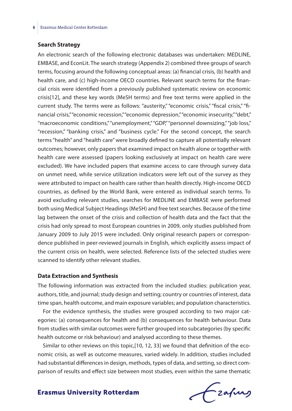#### **Search Strategy**

An electronic search of the following electronic databases was undertaken: MEDLINE, EMBASE, and EconLit. The search strategy (Appendix 2) combined three groups of search terms, focusing around the following conceptual areas: (a) financial crisis, (b) health and health care, and (c) high-income OECD countries. Relevant search terms for the financial crisis were identified from a previously published systematic review on economic crisis[12], and these key words (MeSH terms) and free text terms were applied in the current study. The terms were as follows: "austerity," "economic crisis," "fiscal crisis," "financial crisis," "economic recession," "economic depression," "economic insecurity," "debt," "macroeconomic conditions," "unemployment," "GDP," "personnel downsizing," "job loss," "recession," "banking crisis," and "business cycle." For the second concept, the search terms "health" and "health care" were broadly defined to capture all potentially relevant outcomes; however, only papers that examined impact on health alone or together with health care were assessed (papers looking exclusively at impact on health care were excluded). We have included papers that examine access to care through survey data on unmet need, while service utilization indicators were left out of the survey as they were attributed to impact on health care rather than health directly. High-income OECD countries, as defined by the World Bank, were entered as individual search terms. To avoid excluding relevant studies, searches for MEDLINE and EMBASE were performed both using Medical Subject Headings (MeSH) and free text searches. Because of the time lag between the onset of the crisis and collection of health data and the fact that the crisis had only spread to most European countries in 2009, only studies published from January 2009 to July 2015 were included. Only original research papers or correspondence published in peer-reviewed journals in English, which explicitly assess impact of the current crisis on health, were selected. Reference lists of the selected studies were scanned to identify other relevant studies.

#### **Data Extraction and Synthesis**

The following information was extracted from the included studies: publication year, authors, title, and journal; study design and setting; country or countries of interest, data time span, health outcome, and main exposure variables; and population characteristics.

For the evidence synthesis, the studies were grouped according to two major categories: (a) consequences for health and (b) consequences for health behaviour. Data from studies with similar outcomes were further grouped into subcategories (by specific health outcome or risk behaviour) and analysed according to these themes.

Similar to other reviews on this topic,[10, 12, 33] we found that definition of the economic crisis, as well as outcome measures, varied widely. In addition, studies included had substantial differences in design, methods, types of data, and setting, so direct comparison of results and effect size between most studies, even within the same thematic

frafing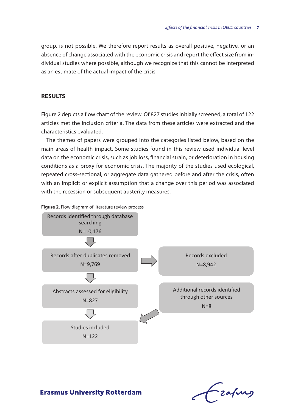group, is not possible. We therefore report results as overall positive, negative, or an absence of change associated with the economic crisis and report the effect size from individual studies where possible, although we recognize that this cannot be interpreted as an estimate of the actual impact of the crisis.

#### **Results**

Figure 2 depicts a flow chart of the review. Of 827 studies initially screened, a total of 122 articles met the inclusion criteria. The data from these articles were extracted and the characteristics evaluated.

The themes of papers were grouped into the categories listed below, based on the main areas of health impact. Some studies found in this review used individual-level data on the economic crisis, such as job loss, financial strain, or deterioration in housing conditions as a proxy for economic crisis. The majority of the studies used ecological, repeated cross-sectional, or aggregate data gathered before and after the crisis, often with an implicit or explicit assumption that a change over this period was associated with the recession or subsequent austerity measures.



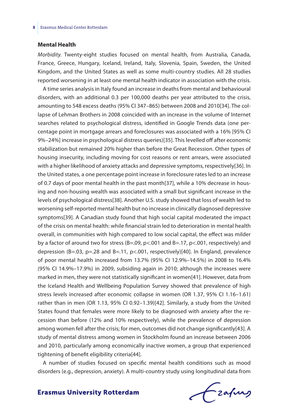#### **Mental Health**

*Morbidity.* Twenty-eight studies focused on mental health, from Australia, Canada, France, Greece, Hungary, Iceland, Ireland, Italy, Slovenia, Spain, Sweden, the United Kingdom, and the United States as well as some multi-country studies. All 28 studies reported worsening in at least one mental health indicator in association with the crisis.

A time series analysis in Italy found an increase in deaths from mental and behavioural disorders, with an additional 0.3 per 100,000 deaths per year attributed to the crisis, amounting to 548 excess deaths (95% CI 347–865) between 2008 and 2010[34]. The collapse of Lehman Brothers in 2008 coincided with an increase in the volume of Internet searches related to psychological distress, identified in Google Trends data (one percentage point in mortgage arrears and foreclosures was associated with a 16% [95% CI 9%–24%] increase in psychological distress queries)[35]. This levelled off after economic stabilization but remained 20% higher than before the Great Recession. Other types of housing insecurity, including moving for cost reasons or rent arrears, were associated with a higher likelihood of anxiety attacks and depressive symptoms, respectively[36]. In the United states, a one percentage point increase in foreclosure rates led to an increase of 0.7 days of poor mental health in the past month[37], while a 10% decrease in housing and non-housing wealth was associated with a small but significant increase in the levels of psychological distress[38]. Another U.S. study showed that loss of wealth led to worsening self-reported mental health but no increase in clinically diagnosed depressive symptoms[39]. A Canadian study found that high social capital moderated the impact of the crisis on mental health: while financial strain led to deterioration in mental health overall, in communities with high compared to low social capital, the effect was milder by a factor of around two for stress (B=.09, p<.001 and B=.17, p<.001, respectively) and depression (B=.03, p=.28 and B=.11, p<.001, respectively)[40]. In England, prevalence of poor mental health increased from 13.7% (95% CI 12.9%–14.5%) in 2008 to 16.4% (95% CI 14.9%–17.9%) in 2009, subsiding again in 2010; although the increases were marked in men, they were not statistically significant in women[41]. However, data from the Iceland Health and Wellbeing Population Survey showed that prevalence of high stress levels increased after economic collapse in women (OR 1.37, 95% CI 1.16–1.61) rather than in men (OR 1.13, 95% CI 0.92–1.39)[42]. Similarly, a study from the United States found that females were more likely to be diagnosed with anxiety after the recession than before (12% and 10% respectively), while the prevalence of depression among women fell after the crisis; for men, outcomes did not change significantly[43]. A study of mental distress among women in Stockholm found an increase between 2006 and 2010, particularly among economically inactive women, a group that experienced tightening of benefit eligibility criteria[44].

A number of studies focused on specific mental health conditions such as mood disorders (e.g., depression, anxiety). A multi-country study using longitudinal data from

frafing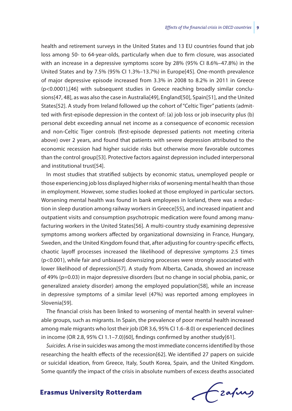health and retirement surveys in the United States and 13 EU countries found that job loss among 50- to 64-year-olds, particularly when due to firm closure, was associated with an increase in a depressive symptoms score by 28% (95% CI 8.6%–47.8%) in the United States and by 7.5% (95% CI 1.3%–13.7%) in Europe[45]. One-month prevalence of major depressive episode increased from 3.3% in 2008 to 8.2% in 2011 in Greece (p<0.0001),[46] with subsequent studies in Greece reaching broadly similar conclusions[47, 48], as was also the case in Australia[49], England[50], Spain[51], and the United States[52]. A study from Ireland followed up the cohort of "Celtic Tiger" patients (admitted with first-episode depression in the context of: (a) job loss or job insecurity plus (b) personal debt exceeding annual net income as a consequence of economic recession and non-Celtic Tiger controls (first-episode depressed patients not meeting criteria above) over 2 years, and found that patients with severe depression attributed to the economic recession had higher suicide risks but otherwise more favorable outcomes than the control group[53]. Protective factors against depression included interpersonal and institutional trust[54].

In most studies that stratified subjects by economic status, unemployed people or those experiencing job loss displayed higher risks of worsening mental health than those in employment. However, some studies looked at those employed in particular sectors. Worsening mental health was found in bank employees in Iceland, there was a reduction in sleep duration among railway workers in Greece[55], and increased inpatient and outpatient visits and consumption psychotropic medication were found among manufacturing workers in the United States[56]. A multi-country study examining depressive symptoms among workers affected by organizational downsizing in France, Hungary, Sweden, and the United Kingdom found that, after adjusting for country-specific effects, chaotic layoff processes increased the likelihood of depressive symptoms 2.5 times (p<0.001), while fair and unbiased downsizing processes were strongly associated with lower likelihood of depression[57]. A study from Alberta, Canada, showed an increase of 49% (p=0.03) in major depressive disorders (but no change in social phobia, panic, or generalized anxiety disorder) among the employed population[58], while an increase in depressive symptoms of a similar level (47%) was reported among employees in Slovenia<sup>[59]</sup>.

The financial crisis has been linked to worsening of mental health in several vulnerable groups, such as migrants. In Spain, the prevalence of poor mental health increased among male migrants who lost their job (OR 3.6, 95% CI 1.6–8.0) or experienced declines in income (OR 2.8, 95% CI 1.1–7.0)[60], findings confirmed by another study[61].

*Suicides.* A rise in suicides was among the most immediate concerns identified by those researching the health effects of the recession[62]. We identified 27 papers on suicide or suicidal ideation, from Greece, Italy, South Korea, Spain, and the United Kingdom. Some quantify the impact of the crisis in absolute numbers of excess deaths associated

frafing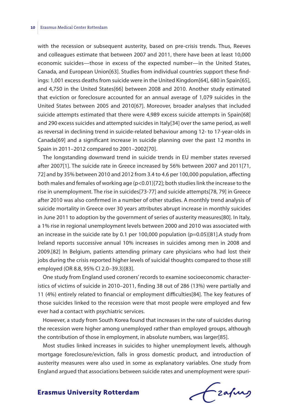with the recession or subsequent austerity, based on pre-crisis trends. Thus, Reeves and colleagues estimate that between 2007 and 2011, there have been at least 10,000 economic suicides—those in excess of the expected number—in the United States, Canada, and European Union[63]. Studies from individual countries support these findings: 1,001 excess deaths from suicide were in the United Kingdom[64], 680 in Spain[65], and 4,750 in the United States[66] between 2008 and 2010. Another study estimated that eviction or foreclosure accounted for an annual average of 1,079 suicides in the United States between 2005 and 2010[67]. Moreover, broader analyses that included suicide attempts estimated that there were 4,989 excess suicide attempts in Spain[68] and 290 excess suicides and attempted suicides in Italy[34] over the same period, as well as reversal in declining trend in suicide-related behaviour among 12- to 17-year-olds in Canada[69] and a significant increase in suicide planning over the past 12 months in Spain in 2011–2012 compared to 2001–2002[70].

The longstanding downward trend in suicide trends in EU member states reversed after 2007[1]. The suicide rate in Greece increased by 56% between 2007 and 2011[71, 72] and by 35% between 2010 and 2012 from 3.4 to 4.6 per 100,000 population, affecting both males and females of working age (p<0.01)[72]; both studies link the increase to the rise in unemployment. The rise in suicides[73-77] and suicide attempts[78, 79] in Greece after 2010 was also confirmed in a number of other studies. A monthly trend analysis of suicide mortality in Greece over 30 years attributes abrupt increase in monthly suicides in June 2011 to adoption by the government of series of austerity measures[80]. In Italy, a 1% rise in regional unemployment levels between 2000 and 2010 was associated with an increase in the suicide rate by 0.1 per 100,000 population (p=0.05)[81].A study from Ireland reports successive annual 10% increases in suicides among men in 2008 and 2009.[82] In Belgium, patients attending primary care physicians who had lost their jobs during the crisis reported higher levels of suicidal thoughts compared to those still employed (OR 8.8, 95% CI 2.0–39.3)[83].

One study from England used coroners' records to examine socioeconomic characteristics of victims of suicide in 2010–2011, finding 38 out of 286 (13%) were partially and 11 (4%) entirely related to financial or employment difficulties[84]. The key features of those suicides linked to the recession were that most people were employed and few ever had a contact with psychiatric services.

However, a study from South Korea found that increases in the rate of suicides during the recession were higher among unemployed rather than employed groups, although the contribution of those in employment, in absolute numbers, was larger[85].

Most studies linked increases in suicides to higher unemployment levels, although mortgage foreclosure/eviction, falls in gross domestic product, and introduction of austerity measures were also used in some as explanatory variables. One study from England argued that associations between suicide rates and unemployment were spuri-

frafing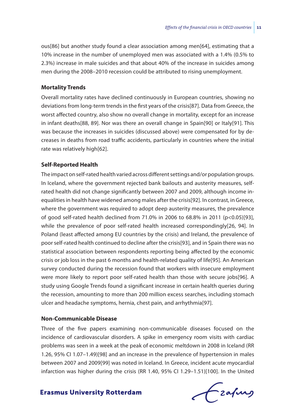ous[86] but another study found a clear association among men[64], estimating that a 10% increase in the number of unemployed men was associated with a 1.4% (0.5% to 2.3%) increase in male suicides and that about 40% of the increase in suicides among men during the 2008–2010 recession could be attributed to rising unemployment.

#### **Mortality Trends**

Overall mortality rates have declined continuously in European countries, showing no deviations from long-term trends in the first years of the crisis[87]. Data from Greece, the worst affected country, also show no overall change in mortality, except for an increase in infant deaths[88, 89]. Nor was there an overall change in Spain[90] or Italy[91]. This was because the increases in suicides (discussed above) were compensated for by decreases in deaths from road traffic accidents, particularly in countries where the initial rate was relatively high[62].

#### **Self-Reported Health**

The impact on self-rated health varied across different settings and/or population groups. In Iceland, where the government rejected bank bailouts and austerity measures, selfrated health did not change significantly between 2007 and 2009, although income inequalities in health have widened among males after the crisis[92]. In contrast, in Greece, where the government was required to adopt deep austerity measures, the prevalence of good self-rated health declined from 71.0% in 2006 to 68.8% in 2011 (p<0.05)[93], while the prevalence of poor self-rated health increased correspondingly[26, 94]. In Poland (least affected among EU countries by the crisis) and Ireland, the prevalence of poor self-rated health continued to decline after the crisis[93], and in Spain there was no statistical association between respondents reporting being affected by the economic crisis or job loss in the past 6 months and health-related quality of life[95]. An American survey conducted during the recession found that workers with insecure employment were more likely to report poor self-rated health than those with secure jobs[96]. A study using Google Trends found a significant increase in certain health queries during the recession, amounting to more than 200 million excess searches, including stomach ulcer and headache symptoms, hernia, chest pain, and arrhythmia[97].

#### **Non-Communicable Disease**

Three of the five papers examining non-communicable diseases focused on the incidence of cardiovascular disorders. A spike in emergency room visits with cardiac problems was seen in a week at the peak of economic meltdown in 2008 in Iceland (RR 1.26, 95% CI 1.07–1.49)[98] and an increase in the prevalence of hypertension in males between 2007 and 2009[99] was noted in Iceland. In Greece, incident acute myocardial infarction was higher during the crisis (RR 1.40, 95% CI 1.29–1.51)[100]. In the United

frafing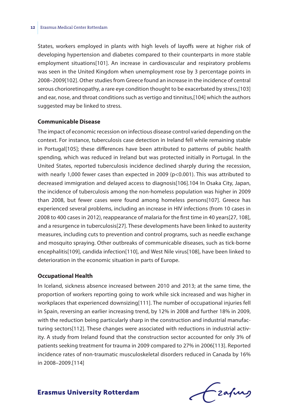States, workers employed in plants with high levels of layoffs were at higher risk of developing hypertension and diabetes compared to their counterparts in more stable employment situations[101]. An increase in cardiovascular and respiratory problems was seen in the United Kingdom when unemployment rose by 3 percentage points in 2008–2009[102]. Other studies from Greece found an increase in the incidence of central serous chorioretinopathy, a rare eye condition thought to be exacerbated by stress,[103] and ear, nose, and throat conditions such as vertigo and tinnitus,[104] which the authors suggested may be linked to stress.

#### **Communicable Disease**

The impact of economic recession on infectious disease control varied depending on the context. For instance, tuberculosis case detection in Ireland fell while remaining stable in Portugal[105]; these differences have been attributed to patterns of public health spending, which was reduced in Ireland but was protected initially in Portugal. In the United States, reported tuberculosis incidence declined sharply during the recession, with nearly 1,000 fewer cases than expected in 2009 (p<0.001). This was attributed to decreased immigration and delayed access to diagnosis[106].104 In Osaka City, Japan, the incidence of tuberculosis among the non-homeless population was higher in 2009 than 2008, but fewer cases were found among homeless persons[107]. Greece has experienced several problems, including an increase in HIV infections (from 10 cases in 2008 to 400 cases in 2012), reappearance of malaria for the first time in 40 years[27, 108], and a resurgence in tuberculosis[27]. These developments have been linked to austerity measures, including cuts to prevention and control programs, such as needle exchange and mosquito spraying. Other outbreaks of communicable diseases, such as tick-borne encephalitis[109], candida infection[110], and West Nile virus[108], have been linked to deterioration in the economic situation in parts of Europe.

#### **Occupational Health**

In Iceland, sickness absence increased between 2010 and 2013; at the same time, the proportion of workers reporting going to work while sick increased and was higher in workplaces that experienced downsizing[111]. The number of occupational injuries fell in Spain, reversing an earlier increasing trend, by 12% in 2008 and further 18% in 2009, with the reduction being particularly sharp in the construction and industrial manufacturing sectors[112]. These changes were associated with reductions in industrial activity. A study from Ireland found that the construction sector accounted for only 3% of patients seeking treatment for trauma in 2009 compared to 27% in 2006[113]. Reported incidence rates of non-traumatic musculoskeletal disorders reduced in Canada by 16% in 2008–2009.[114]

Frahing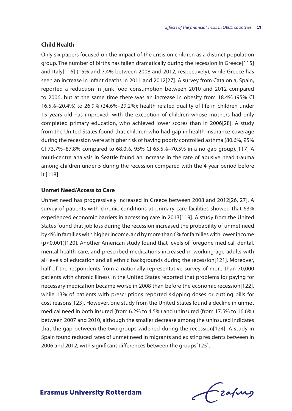#### **Child Health**

Only six papers focused on the impact of the crisis on children as a distinct population group. The number of births has fallen dramatically during the recession in Greece[115] and Italy[116] (15% and 7.4% between 2008 and 2012, respectively), while Greece has seen an increase in infant deaths in 2011 and 2012[27]. A survey from Catalonia, Spain, reported a reduction in junk food consumption between 2010 and 2012 compared to 2006, but at the same time there was an increase in obesity from 18.4% (95% CI 16.5%–20.4%) to 26.9% (24.6%–29.2%); health-related quality of life in children under 15 years old has improved, with the exception of children whose mothers had only completed primary education, who achieved lower scores than in 2006[28]. A study from the United States found that children who had gap in health insurance coverage during the recession were at higher risk of having poorly controlled asthma (80.6%, 95% CI 73.7%–87.8% compared to 68.0%, 95% CI 65.5%–70.5% in a no-gap group).[117] A multi-centre analysis in Seattle found an increase in the rate of abusive head trauma among children under 5 during the recession compared with the 4-year period before it.[118]

#### **Unmet Need/Access to Care**

Unmet need has progressively increased in Greece between 2008 and 2012[26, 27]. A survey of patients with chronic conditions at primary care facilities showed that 63% experienced economic barriers in accessing care in 2013[119]. A study from the United States found that job loss during the recession increased the probability of unmet need by 4% in families with higher income, and by more than 6% for families with lower income (p<0.001)[120]. Another American study found that levels of foregone medical, dental, mental health care, and prescribed medications increased in working-age adults with all levels of education and all ethnic backgrounds during the recession[121]. Moreover, half of the respondents from a nationally representative survey of more than 70,000 patients with chronic illness in the United States reported that problems for paying for necessary medication became worse in 2008 than before the economic recession[122], while 13% of patients with prescriptions reported skipping doses or cutting pills for cost reasons[123]. However, one study from the United States found a decline in unmet medical need in both insured (from 6.2% to 4.5%) and uninsured (from 17.5% to 16.6%) between 2007 and 2010, although the smaller decrease among the uninsured indicates that the gap between the two groups widened during the recession[124]. A study in Spain found reduced rates of unmet need in migrants and existing residents between in 2006 and 2012, with significant differences between the groups[125].

frafing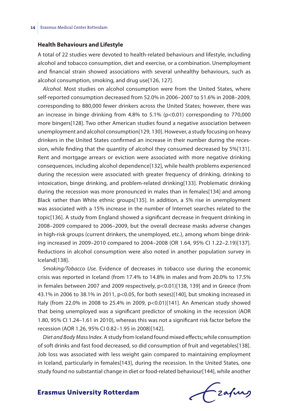#### **Health Behaviours and Lifestyle**

A total of 22 studies were devoted to health-related behaviours and lifestyle, including alcohol and tobacco consumption, diet and exercise, or a combination. Unemployment and financial strain showed associations with several unhealthy behaviours, such as alcohol consumption, smoking, and drug use[126, 127].

*Alcohol.* Most studies on alcohol consumption were from the United States, where self-reported consumption decreased from 52.0% in 2006–2007 to 51.6% in 2008–2009, corresponding to 880,000 fewer drinkers across the United States; however, there was an increase in binge drinking from 4.8% to 5.1% (p<0.01) corresponding to 770,000 more bingers[128]. Two other American studies found a negative association between unemployment and alcohol consumption[129, 130]. However, a study focusing on heavy drinkers in the United States confirmed an increase in their number during the recession, while finding that the quantity of alcohol they consumed decreased by 5%[131]. Rent and mortgage arrears or eviction were associated with more negative drinking consequences, including alcohol dependence[132], while health problems experienced during the recession were associated with greater frequency of drinking, drinking to intoxication, binge drinking, and problem-related drinking[133]. Problematic drinking during the recession was more pronounced in males than in females[134] and among Black rather than White ethnic groups[135]. In addition, a 5% rise in unemployment was associated with a 15% increase in the number of Internet searches related to the topic[136]. A study from England showed a significant decrease in frequent drinking in 2008–2009 compared to 2006–2009, but the overall decrease masks adverse changes in high-risk groups (current drinkers, the unemployed, etc.), among whom binge drinking increased in 2009–2010 compared to 2004–2008 (OR 1.64, 95% CI 1.22–2.19)[137]. Reductions in alcohol consumption were also noted in another population survey in Iceland[138].

*Smoking/Tobacco Use.* Evidence of decreases in tobacco use during the economic crisis was reported in Iceland (from 17.4% to 14.8% in males and from 20.0% to 17.5% in females between 2007 and 2009 respectively, p<0.01)[138, 139] and in Greece (from 43.1% in 2006 to 38.1% in 2011, p<0.05, for both sexes)[140], but smoking increased in Italy (from 22.0% in 2008 to 25.4% in 2009, p<0.01)[141]. An American study showed that being unemployed was a significant predictor of smoking in the recession (AOR 1.80, 95% CI 1.24–1.61 in 2010), whereas this was not a significant risk factor before the recession (AOR 1.26, 95% CI 0.82–1.95 in 2008)[142].

*Diet and Body Mass Index.* A study from Iceland found mixed effects; while consumption of soft drinks and fast food decreased, so did consumption of fruit and vegetables[138]. Job loss was associated with less weight gain compared to maintaining employment in Iceland, particularly in females[143], during the recession. In the United States, one study found no substantial change in diet or food-related behaviour[144], while another

frafing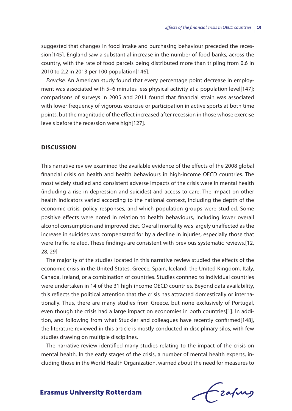suggested that changes in food intake and purchasing behaviour preceded the recession[145]. England saw a substantial increase in the number of food banks, across the country, with the rate of food parcels being distributed more than tripling from 0.6 in 2010 to 2.2 in 2013 per 100 population[146].

*Exercise.* An American study found that every percentage point decrease in employment was associated with 5–6 minutes less physical activity at a population level[147]; comparisons of surveys in 2005 and 2011 found that financial strain was associated with lower frequency of vigorous exercise or participation in active sports at both time points, but the magnitude of the effect increased after recession in those whose exercise levels before the recession were high[127].

#### **Discussion**

This narrative review examined the available evidence of the effects of the 2008 global financial crisis on health and health behaviours in high-income OECD countries. The most widely studied and consistent adverse impacts of the crisis were in mental health (including a rise in depression and suicides) and access to care. The impact on other health indicators varied according to the national context, including the depth of the economic crisis, policy responses, and which population groups were studied. Some positive effects were noted in relation to health behaviours, including lower overall alcohol consumption and improved diet. Overall mortality was largely unaffected as the increase in suicides was compensated for by a decline in injuries, especially those that were traffic-related. These findings are consistent with previous systematic reviews.[12, 28, 29]

The majority of the studies located in this narrative review studied the effects of the economic crisis in the United States, Greece, Spain, Iceland, the United Kingdom, Italy, Canada, Ireland, or a combination of countries. Studies confined to individual countries were undertaken in 14 of the 31 high-income OECD countries. Beyond data availability, this reflects the political attention that the crisis has attracted domestically or internationally. Thus, there are many studies from Greece, but none exclusively of Portugal, even though the crisis had a large impact on economies in both countries[1]. In addition, and following from what Stuckler and colleagues have recently confirmed[148], the literature reviewed in this article is mostly conducted in disciplinary silos, with few studies drawing on multiple disciplines.

The narrative review identified many studies relating to the impact of the crisis on mental health. In the early stages of the crisis, a number of mental health experts, including those in the World Health Organization, warned about the need for measures to

Czafing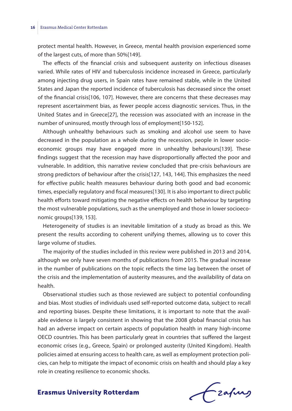protect mental health. However, in Greece, mental health provision experienced some of the largest cuts, of more than 50%[149].

The effects of the financial crisis and subsequent austerity on infectious diseases varied. While rates of HIV and tuberculosis incidence increased in Greece, particularly among injecting drug users, in Spain rates have remained stable, while in the United States and Japan the reported incidence of tuberculosis has decreased since the onset of the financial crisis[106, 107]. However, there are concerns that these decreases may represent ascertainment bias, as fewer people access diagnostic services. Thus, in the United States and in Greece[27], the recession was associated with an increase in the number of uninsured, mostly through loss of employment[150-152].

Although unhealthy behaviours such as smoking and alcohol use seem to have decreased in the population as a whole during the recession, people in lower socioeconomic groups may have engaged more in unhealthy behaviours[139]. These findings suggest that the recession may have disproportionally affected the poor and vulnerable. In addition, this narrative review concluded that pre-crisis behaviours are strong predictors of behaviour after the crisis[127, 143, 144]. This emphasizes the need for effective public health measures behaviour during both good and bad economic times, especially regulatory and fiscal measures[130]. It is also important to direct public health efforts toward mitigating the negative effects on health behaviour by targeting the most vulnerable populations, such as the unemployed and those in lower socioeconomic groups[139, 153].

Heterogeneity of studies is an inevitable limitation of a study as broad as this. We present the results according to coherent unifying themes, allowing us to cover this large volume of studies.

The majority of the studies included in this review were published in 2013 and 2014, although we only have seven months of publications from 2015. The gradual increase in the number of publications on the topic reflects the time lag between the onset of the crisis and the implementation of austerity measures, and the availability of data on health.

Observational studies such as those reviewed are subject to potential confounding and bias. Most studies of individuals used self-reported outcome data, subject to recall and reporting biases. Despite these limitations, it is important to note that the available evidence is largely consistent in showing that the 2008 global financial crisis has had an adverse impact on certain aspects of population health in many high-income OECD countries. This has been particularly great in countries that suffered the largest economic crises (e.g., Greece, Spain) or prolonged austerity (United Kingdom). Health policies aimed at ensuring access to health care, as well as employment protection policies, can help to mitigate the impact of economic crisis on health and should play a key role in creating resilience to economic shocks.

frafing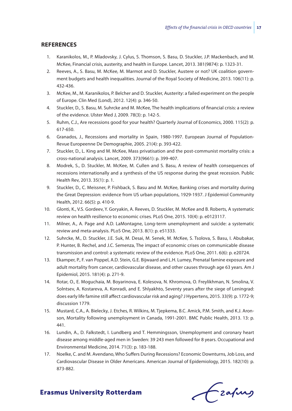#### **References**

- 1. Karanikolos, M., P. Mladovsky, J. Cylus, S. Thomson, S. Basu, D. Stuckler, J.P. Mackenbach, and M. McKee, Financial crisis, austerity, and health in Europe. Lancet, 2013. 381(9874): p. 1323-31.
- 2. Reeves, A., S. Basu, M. McKee, M. Marmot and D. Stuckler, Austere or not? UK coalition government budgets and health inequalities. Journal of the Royal Society of Medicine, 2013. 106(11): p. 432-436.
- 3. McKee, M., M. Karanikolos, P. Belcher and D. Stuckler, Austerity: a failed experiment on the people of Europe. Clin Med (Lond), 2012. 12(4): p. 346-50.
- 4. Stuckler, D., S. Basu, M. Suhrcke and M. McKee, The health implications of financial crisis: a review of the evidence. Ulster Med J, 2009. 78(3): p. 142-5.
- 5. Ruhm, C.J., Are recessions good for your health? Quarterly Journal of Economics, 2000. 115(2): p. 617-650.
- 6. Granados, J., Recessions and mortality in Spain, 1980-1997. European Journal of Population-Revue Europeenne De Demographie, 2005. 21(4): p. 393-422.
- 7. Stuckler, D., L. King and M. McKee, Mass privatisation and the post-communist mortality crisis: a cross-national analysis. Lancet, 2009. 373(9661): p. 399-407.
- 8. Modrek, S., D. Stuckler, M. McKee, M. Cullen and S. Basu, A review of health consequences of recessions internationally and a synthesis of the US response during the great recession. Public Health Rev, 2013. 35(1): p. 1.
- 9. Stuckler, D., C. Meissner, P. Fishback, S. Basu and M. McKee, Banking crises and mortality during the Great Depression: evidence from US urban populations, 1929-1937. J Epidemiol Community Health, 2012. 66(5): p. 410-9.
- 10. Glonti, K., V.S. Gordeev, Y. Goryakin, A. Reeves, D. Stuckler, M. McKee and B. Roberts, A systematic review on health resilience to economic crises. PLoS One, 2015. 10(4): p. e0123117.
- 11. Milner, A., A. Page and A.D. LaMontagne, Long-term unemployment and suicide: a systematic review and meta-analysis. PLoS One, 2013. 8(1): p. e51333.
- 12. Suhrcke, M., D. Stuckler, J.E. Suk, M. Desai, M. Senek, M. McKee, S. Tsolova, S. Basu, I. Abubakar, P. Hunter, B. Rechel, and J.C. Semenza, The impact of economic crises on communicable disease transmission and control: a systematic review of the evidence. PLoS One, 2011. 6(6): p. e20724.
- 13. Ekamper, P., F. van Poppel, A.D. Stein, G.E. Bijwaard and L.H. Lumey, Prenatal famine exposure and adult mortality from cancer, cardiovascular disease, and other causes through age 63 years. Am J Epidemiol, 2015. 181(4): p. 271-9.
- 14. Rotar, O., E. Moguchaia, M. Boyarinova, E. Kolesova, N. Khromova, O. Freylikhman, N. Smolina, V. Solntsev, A. Kostareva, A. Konradi, and E. Shlyakhto, Seventy years after the siege of Leningrad: does early life famine still affect cardiovascular risk and aging? J Hypertens, 2015. 33(9): p. 1772-9; discussion 1779.
- 15. Mustard, C.A., A. Bielecky, J. Etches, R. Wilkins, M. Tjepkema, B.C. Amick, P.M. Smith, and K.J. Aronson, Mortality following unemployment in Canada, 1991-2001. BMC Public Health, 2013. 13: p. 441.
- 16. Lundin, A., D. Falkstedt, I. Lundberg and T. Hemmingsson, Unemployment and coronary heart disease among middle-aged men in Sweden: 39 243 men followed for 8 years. Occupational and Environmental Medicine, 2014. 71(3): p. 183-188.
- 17. Noelke, C. and M. Avendano, Who Suffers During Recessions? Economic Downturns, Job Loss, and Cardiovascular Disease in Older Americans. American Journal of Epidemiology, 2015. 182(10): p. 873-882.

Czafing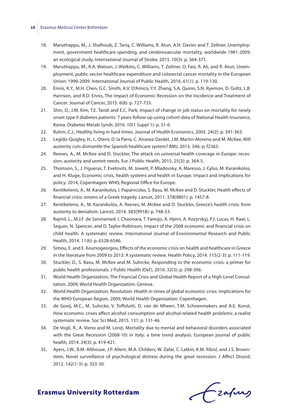- 18. Maruthappu, M., J. Shalhoub, Z. Tariq, C. Williams, R. Atun, A.H. Davies and T. Zeltner, Unemployment, government healthcare spending, and cerebrovascular mortality, worldwide 1981-2009: an ecological study. International Journal of Stroke, 2015. 10(3): p. 364-371.
- 19. Maruthappu, M., R.A. Watson, J. Watkins, C. Williams, T. Zeltner, O. Faiz, R. Ali, and R. Atun, Unemployment, public-sector healthcare expenditure and colorectal cancer mortality in the European Union: 1990-2009. International Journal of Public Health, 2016. 61(1): p. 119-130.
- 20. Ennis, K.Y., M.H. Chen, G.C. Smith, A.V. D'Amico, Y.Y. Zhang, S.A. Quinn, S.N. Ryemon, D. Goltz, L.B. Harrison, and R.D. Ennis, The Impact of Economic Recession on the Incidence and Treatment of Cancer. Journal of Cancer, 2015. 6(8): p. 727-733.
- 21. Shin, D., J.M. Kim, T.E. Tandi and E.C. Park, Impact of change in job status on mortality for newly onset type II diabetes patients: 7 years follow-up using cohort data of National Health Insurance, Korea. Diabetes Metab Syndr, 2016. 10(1 Suppl 1): p. S1-6.
- 22. Ruhm, C.J., Healthy living in hard times. Journal of Health Economics, 2005. 24(2): p. 341-363.
- 23. Legido-Quigley, H., L. Otero, D. la Parra, C. Alvarez-Dardet, J.M. Martin-Moreno and M. McKee, Will austerity cuts dismantle the Spanish healthcare system? BMJ, 2013. 346: p. f2363.
- 24. Reeves, A., M. McKee and D. Stuckler, The attack on universal health coverage in Europe: recession, austerity and unmet needs. Eur J Public Health, 2015. 25(3): p. 364-5.
- 25. Thomson, S., J. Figueras, T. Evetovits, M. Jowett, P. Mladovsky, A. Maresso, J. Cylus, M. Karanikolos, and H. Kluge, Economic crisis, health systems and health in Europe. Impact and implications for policy. 2014, Copenhagen: WHO, Regional Office for Europe.
- 26. Kentikelenis, A., M. Karanikolos, I. Papanicolas, S. Basu, M. McKee and D. Stuckler, Health effects of financial crisis: omens of a Greek tragedy. Lancet, 2011. 378(9801): p. 1457-8.
- 27. Kentikelenis, A., M. Karanikolos, A. Reeves, M. McKee and D. Stuckler, Greece's health crisis: from austerity to denialism. Lancet, 2014. 383(9918): p. 748-53.
- 28. Rajmil, L., M.J.F. de Sanmamed, I. Choonara, T. Faresjo, A. Hjern, A. Kozyrskyj, P.J. Lucas, H. Raat, L. Seguin, N. Spencer, and D. Taylor-Robinson, Impact of the 2008 economic and financial crisis on child health: A systematic review. International Journal of Environmental Research and Public Health, 2014. 11(6): p. 6528-6546.
- 29. Simou, E. and E. Koutsogeorgou, Effects of the economic crisis on health and healthcare in Greece in the literature from 2009 to 2013: A systematic review. Health Policy, 2014. 115(2-3): p. 111-119.
- 30. Stuckler, D., S. Basu, M. McKee and M. Suhrcke, Responding to the economic crisis: a primer for public health professionals. J Public Health (Oxf), 2010. 32(3): p. 298-306.
- 31. World Health Organization, The Financial Crisis and Global Health Report of a High-Level Consultation. 2009, World Health Organization: Geneva.
- 32. World Health Organization, Resolution. Health in times of global economic crisis: implications for the WHO European Region. 2009, World Health Organization: Copenhagen.
- 33. de Goeij, M.C., M. Suhrcke, V. Toffolutti, D. van de Mheen, T.M. Schoenmakers and A.E. Kunst, How economic crises affect alcohol consumption and alcohol-related health problems: a realist systematic review. Soc Sci Med, 2015. 131: p. 131-46.
- 34. De Vogli, R., A. Vieno and M. Lenzi, Mortality due to mental and behavioral disorders associated with the Great Recession (2008-10) in Italy: a time trend analysis. European journal of public health, 2014. 24(3): p. 419-421.
- 35. Ayers, J.W., B.M. Althouse, J.P. Allem, M.A. Childers, W. Zafar, C. Latkin, K.M. Ribisl, and J.S. Brownstein, Novel surveillance of psychological distress during the great recession. J Affect Disord, 2012. 142(1-3): p. 323-30.

Frahing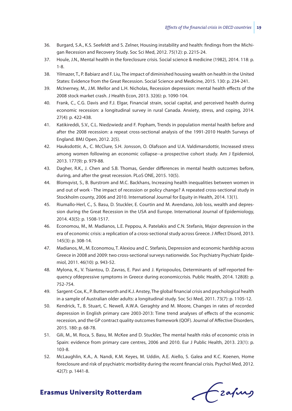- 36. Burgard, S.A., K.S. Seefeldt and S. Zelner, Housing instability and health: findings from the Michigan Recession and Recovery Study. Soc Sci Med, 2012. 75(12): p. 2215-24.
- 37. Houle, J.N., Mental health in the foreclosure crisis. Social science & medicine (1982), 2014. 118: p. 1-8.
- 38. Yilmazer, T., P. Babiarz and F. Liu, The impact of diminished housing wealth on health in the United States: Evidence from the Great Recession. Social Science and Medicine, 2015. 130: p. 234-241.
- 39. McInerney, M., J.M. Mellor and L.H. Nicholas, Recession depression: mental health effects of the 2008 stock market crash. J Health Econ, 2013. 32(6): p. 1090-104.
- 40. Frank, C., C.G. Davis and F.J. Elgar, Financial strain, social capital, and perceived health during economic recession: a longitudinal survey in rural Canada. Anxiety, stress, and coping, 2014. 27(4): p. 422-438.
- 41. Katikireddi, S.V., C.L. Niedzwiedz and F. Popham, Trends in population mental health before and after the 2008 recession: a repeat cross-sectional analysis of the 1991-2010 Health Surveys of England. BMJ Open, 2012. 2(5).
- 42. Hauksdottir, A., C. McClure, S.H. Jonsson, O. Olafsson and U.A. Valdimarsdottir, Increased stress among women following an economic collapse--a prospective cohort study. Am J Epidemiol, 2013. 177(9): p. 979-88.
- 43. Dagher, R.K., J. Chen and S.B. Thomas, Gender differences in mental health outcomes before, during, and after the great recession. PLoS ONE, 2015. 10(5).
- 44. Blomqvist, S., B. Burstrom and M.C. Backhans, Increasing health inequalities between women in and out of work - The impact of recession or policy change? A repeated cross-sectional study in Stockholm county, 2006 and 2010. International Journal for Equity in Health, 2014. 13(1).
- 45. Riumallo-Herl, C., S. Basu, D. Stuckler, E. Courtin and M. Avendano, Job loss, wealth and depression during the Great Recession in the USA and Europe. International Journal of Epidemiology, 2014. 43(5): p. 1508-1517.
- 46. Economou, M., M. Madianos, L.E. Peppou, A. Patelakis and C.N. Stefanis, Major depression in the era of economic crisis: a replication of a cross-sectional study across Greece. J Affect Disord, 2013. 145(3): p. 308-14.
- 47. Madianos, M., M. Economou, T. Alexiou and C. Stefanis, Depression and economic hardship across Greece in 2008 and 2009: two cross-sectional surveys nationwide. Soc Psychiatry Psychiatr Epidemiol, 2011. 46(10): p. 943-52.
- 48. Mylona, K., V. Tsiantou, D. Zavras, E. Pavi and J. Kyriopoulos, Determinants of self-reported frequency ofdepressive symptoms in Greece during economiccrisis. Public Health, 2014. 128(8): p. 752-754.
- 49. Sargent-Cox, K., P. Butterworth and K.J. Anstey, The global financial crisis and psychological health in a sample of Australian older adults: a longitudinal study. Soc Sci Med, 2011. 73(7): p. 1105-12.
- 50. Kendrick, T., B. Stuart, C. Newell, A.W.A. Geraghty and M. Moore, Changes in rates of recorded depression in English primary care 2003-2013: Time trend analyses of effects of the economic recession, and the GP contract quality outcomes framework (QOF). Journal of Affective Disorders, 2015. 180: p. 68-78.
- 51. Gili, M., M. Roca, S. Basu, M. McKee and D. Stuckler, The mental health risks of economic crisis in Spain: evidence from primary care centres, 2006 and 2010. Eur J Public Health, 2013. 23(1): p. 103-8.
- 52. McLaughlin, K.A., A. Nandi, K.M. Keyes, M. Uddin, A.E. Aiello, S. Galea and K.C. Koenen, Home foreclosure and risk of psychiatric morbidity during the recent financial crisis. Psychol Med, 2012. 42(7): p. 1441-8.

Czafing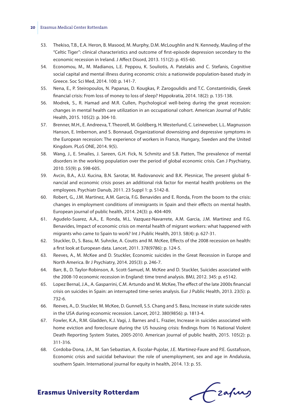- 53. Thekiso, T.B., E.A. Heron, B. Masood, M. Murphy, D.M. McLoughlin and N. Kennedy, Mauling of the "Celtic Tiger": clinical characteristics and outcome of first-episode depression secondary to the economic recession in Ireland. J Affect Disord, 2013. 151(2): p. 455-60.
- 54. Economou, M., M. Madianos, L.E. Peppou, K. Souliotis, A. Patelakis and C. Stefanis, Cognitive social capital and mental illness during economic crisis: a nationwide population-based study in Greece. Soc Sci Med, 2014. 100: p. 141-7.
- 55. Nena, E., P. Steiropoulos, N. Papanas, D. Kougkas, P. Zarogoulidis and T.C. Constantinidis, Greek financial crisis: From loss of money to loss of sleep? Hippokratia, 2014. 18(2): p. 135-138.
- 56. Modrek, S., R. Hamad and M.R. Cullen, Psychological well-being during the great recession: changes in mental health care utilization in an occupational cohort. American Journal of Public Health, 2015. 105(2): p. 304-10.
- 57. Brenner, M.H., E. Andreeva, T. Theorell, M. Goldberg, H. Westerlund, C. Leineweber, L.L. Magnusson Hanson, E. Imbernon, and S. Bonnaud, Organizational downsizing and depressive symptoms in the European recession: The experience of workers in France, Hungary, Sweden and the United Kingdom. PLoS ONE, 2014. 9(5).
- 58. Wang, J., E. Smailes, J. Sareen, G.H. Fick, N. Schmitz and S.B. Patten, The prevalence of mental disorders in the working population over the period of global economic crisis. Can J Psychiatry, 2010. 55(9): p. 598-605.
- 59. Avcin, B.A., A.U. Kucina, B.N. Sarotar, M. Radovanovic and B.K. Plesnicar, The present global financial and economic crisis poses an additional risk factor for mental health problems on the employees. Psychiatr Danub, 2011. 23 Suppl 1: p. S142-8.
- 60. Robert, G., J.M. Martinez, A.M. Garcia, F.G. Benavides and E. Ronda, From the boom to the crisis: changes in employment conditions of immigrants in Spain and their effects on mental health. European journal of public health, 2014. 24(3): p. 404-409.
- 61. Agudelo-Suarez, A.A., E. Ronda, M.L. Vazquez-Navarrete, A.M. Garcia, J.M. Martinez and F.G. Benavides, Impact of economic crisis on mental health of migrant workers: what happened with migrants who came to Spain to work? Int J Public Health, 2013. 58(4): p. 627-31.
- 62. Stuckler, D., S. Basu, M. Suhrcke, A. Coutts and M. McKee, Effects of the 2008 recession on health: a first look at European data. Lancet, 2011. 378(9786): p. 124-5.
- 63. Reeves, A., M. McKee and D. Stuckler, Economic suicides in the Great Recession in Europe and North America. Br J Psychiatry, 2014. 205(3): p. 246-7.
- 64. Barr, B., D. Taylor-Robinson, A. Scott-Samuel, M. McKee and D. Stuckler, Suicides associated with the 2008-10 economic recession in England: time trend analysis. BMJ, 2012. 345: p. e5142.
- 65. Lopez Bernal, J.A., A. Gasparrini, C.M. Artundo and M. McKee, The effect of the late 2000s financial crisis on suicides in Spain: an interrupted time-series analysis. Eur J Public Health, 2013. 23(5): p. 732-6.
- 66. Reeves, A., D. Stuckler, M. McKee, D. Gunnell, S.S. Chang and S. Basu, Increase in state suicide rates in the USA during economic recession. Lancet, 2012. 380(9856): p. 1813-4.
- 67. Fowler, K.A., R.M. Gladden, K.J. Vagi, J. Barnes and L. Frazier, Increase in suicides associated with home eviction and foreclosure during the US housing crisis: findings from 16 National Violent Death Reporting System States, 2005-2010. American journal of public health, 2015. 105(2): p. 311-316.
- 68. Cordoba-Dona, J.A., M. San Sebastian, A. Escolar-Pujolar, J.E. Martinez-Faure and P.E. Gustafsson, Economic crisis and suicidal behaviour: the role of unemployment, sex and age in Andalusia, southern Spain. International journal for equity in health, 2014. 13: p. 55.

frafing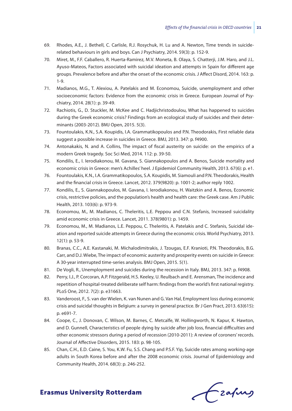- 69. Rhodes, A.E., J. Bethell, C. Carlisle, R.J. Rosychuk, H. Lu and A. Newton, Time trends in suiciderelated behaviours in girls and boys. Can J Psychiatry, 2014. 59(3): p. 152-9.
- 70. Miret, M., F.F. Caballero, R. Huerta-Ramirez, M.V. Moneta, B. Olaya, S. Chatterji, J.M. Haro, and J.L. Ayuso-Mateos, Factors associated with suicidal ideation and attempts in Spain for different age groups. Prevalence before and after the onset of the economic crisis. J Affect Disord, 2014. 163: p. 1-9.
- 71. Madianos, M.G., T. Alexiou, A. Patelakis and M. Economou, Suicide, unemployment and other socioeconomic factors: Evidence from the economic crisis in Greece. European Journal of Psychiatry, 2014. 28(1): p. 39-49.
- 72. Rachiotis, G., D. Stuckler, M. McKee and C. Hadjichristodoulou, What has happened to suicides during the Greek economic crisis? Findings from an ecological study of suicides and their determinants (2003-2012). BMJ Open, 2015. 5(3).
- 73. Fountoulakis, K.N., S.A. Koupidis, I.A. Grammatikopoulos and P.N. Theodorakis, First reliable data suggest a possible increase in suicides in Greece. BMJ, 2013. 347: p. f4900.
- 74. Antonakakis, N. and A. Collins, The impact of fiscal austerity on suicide: on the empirics of a modern Greek tragedy. Soc Sci Med, 2014. 112: p. 39-50.
- 75. Kondilis, E., I. Ierodiakonou, M. Gavana, S. Giannakopoulos and A. Benos, Suicide mortality and economic crisis in Greece: men's Achilles' heel. J Epidemiol Community Health, 2013. 67(6): p. e1.
- 76. Fountoulakis, K.N., I.A. Grammatikopoulos, S.A. Koupidis, M. Siamouli and P.N. Theodorakis, Health and the financial crisis in Greece. Lancet, 2012. 379(9820): p. 1001-2; author reply 1002.
- 77. Kondilis, E., S. Giannakopoulos, M. Gavana, I. Ierodiakonou, H. Waitzkin and A. Benos, Economic crisis, restrictive policies, and the population's health and health care: the Greek case. Am J Public Health, 2013. 103(6): p. 973-9.
- 78. Economou, M., M. Madianos, C. Theleritis, L.E. Peppou and C.N. Stefanis, Increased suicidality amid economic crisis in Greece. Lancet, 2011. 378(9801): p. 1459.
- 79. Economou, M., M. Madianos, L.E. Peppou, C. Theleritis, A. Patelakis and C. Stefanis, Suicidal ideation and reported suicide attempts in Greece during the economic crisis. World Psychiatry, 2013. 12(1): p. 53-9.
- 80. Branas, C.C., A.E. Kastanaki, M. Michalodimitrakis, J. Tzougas, E.F. Kranioti, P.N. Theodorakis, B.G. Carr, and D.J. Wiebe, The impact of economic austerity and prosperity events on suicide in Greece: A 30-year interrupted time-series analysis. BMJ Open, 2015. 5(1).
- 81. De Vogli, R., Unemployment and suicides during the recession in Italy. BMJ, 2013. 347: p. f4908.
- 82. Perry, I.J., P. Corcoran, A.P. Fitzgerald, H.S. Keeley, U. Reulbach and E. Arensman, The incidence and repetition of hospital-treated deliberate self harm: findings from the world's first national registry. PLoS One, 2012. 7(2): p. e31663.
- 83. Vanderoost, F., S. van der Wielen, K. van Nunen and G. Van Hal, Employment loss during economic crisis and suicidal thoughts in Belgium: a survey in general practice. Br J Gen Pract, 2013. 63(615): p. e691-7.
- 84. Coope, C., J. Donovan, C. Wilson, M. Barnes, C. Metcalfe, W. Hollingworth, N. Kapur, K. Hawton, and D. Gunnell, Characteristics of people dying by suicide after job loss, financial difficulties and other economic stressors during a period of recession (2010-2011): A review of coroners' records. Journal of Affective Disorders, 2015. 183: p. 98-105.
- 85. Chan, C.H., E.D. Caine, S. You, K.W. Fu, S.S. Chang and P.S.F. Yip, Suicide rates among working-age adults in South Korea before and after the 2008 economic crisis. Journal of Epidemiology and Community Health, 2014. 68(3): p. 246-252.

frafing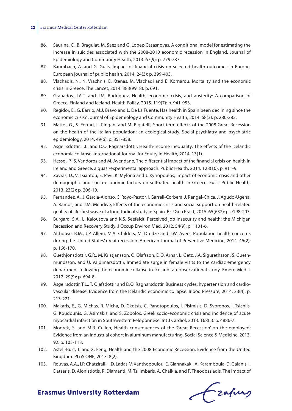- 86. Saurina, C., B. Bragulat, M. Saez and G. Lopez-Casasnovas, A conditional model for estimating the increase in suicides associated with the 2008-2010 economic recession in England. Journal of Epidemiology and Community Health, 2013. 67(9): p. 779-787.
- 87. Baumbach, A. and G. Gulis, Impact of financial crisis on selected health outcomes in Europe. European journal of public health, 2014. 24(3): p. 399-403.
- 88. Vlachadis, N., N. Vrachnis, E. Ktenas, M. Vlachadi and E. Kornarou, Mortality and the economic crisis in Greece. The Lancet, 2014. 383(9918): p. 691.
- 89. Granados, J.A.T. and J.M. Rodriguez, Health, economic crisis, and austerity: A comparison of Greece, Finland and Iceland. Health Policy, 2015. 119(7): p. 941-953.
- 90. Regidor, E., G. Barrio, M.J. Bravo and L. De La Fuente, Has health in Spain been declining since the economic crisis? Journal of Epidemiology and Community Health, 2014. 68(3): p. 280-282.
- 91. Mattei, G., S. Ferrari, L. Pingani and M. Rigatelli, Short-term effects of the 2008 Great Recession on the health of the Italian population: an ecological study. Social psychiatry and psychiatric epidemiology, 2014. 49(6): p. 851-858.
- 92. Asgeirsdottir, T.L. and D.O. Ragnarsdottir, Health-income inequality: The effects of the Icelandic economic collapse. International Journal for Equity in Health, 2014. 13(1).
- 93. Hessel, P., S. Vandoros and M. Avendano, The differential impact of the financial crisis on health in Ireland and Greece: a quasi-experimental approach. Public Health, 2014. 128(10): p. 911-9.
- 94. Zavras, D., V. Tsiantou, E. Pavi, K. Mylona and J. Kyriopoulos, Impact of economic crisis and other demographic and socio-economic factors on self-rated health in Greece. Eur J Public Health, 2013. 23(2): p. 206-10.
- 95. Fernandez, A., J. Garcia-Alonso, C. Royo-Pastor, I. Garrell-Corbera, J. Rengel-Chica, J. Agudo-Ugena, A. Ramos, and J.M. Mendive, Effects of the economic crisis and social support on health-related quality of life: first wave of a longitudinal study in Spain. Br J Gen Pract, 2015. 65(632): p. e198-203.
- 96. Burgard, S.A., L. Kalousova and K.S. Seefeldt, Perceived job insecurity and health: the Michigan Recession and Recovery Study. J Occup Environ Med, 2012. 54(9): p. 1101-6.
- 97. Althouse, B.M., J.P. Allem, M.A. Childers, M. Dredze and J.W. Ayers, Population health concerns during the United States' great recession. American Journal of Preventive Medicine, 2014. 46(2): p. 166-170.
- 98. Guethjonsdottir, G.R., M. Kristjansson, O. Olafsson, D.O. Arnar, L. Getz, J.A. Sigurethsson, S. Guethmundsson, and U. Valdimarsdottir, Immediate surge in female visits to the cardiac emergency department following the economic collapse in Iceland: an observational study. Emerg Med J, 2012. 29(9): p. 694-8.
- 99. Asgeirsdottir, T.L., T. Olafsdottir and D.O. Ragnarsdottir, Business cycles, hypertension and cardiovascular disease: Evidence from the Icelandic economic collapse. Blood Pressure, 2014. 23(4): p. 213-221.
- 100. Makaris, E., G. Michas, R. Micha, D. Gkotsis, C. Panotopoulos, I. Pisimisis, D. Svoronos, I. Tsichlis, G. Koudounis, G. Asimakis, and S. Zobolos, Greek socio-economic crisis and incidence of acute myocardial infarction in Southwestern Peloponnese. Int J Cardiol, 2013. 168(5): p. 4886-7.
- 101. Modrek, S. and M.R. Cullen, Health consequences of the 'Great Recession' on the employed: Evidence from an industrial cohort in aluminum manufacturing. Social Science & Medicine, 2013. 92: p. 105-113.
- 102. Astell-Burt, T. and X. Feng, Health and the 2008 Economic Recession: Evidence from the United Kingdom. PLoS ONE, 2013. 8(2).
- 103. Rouvas, A.A., I.P. Chatziralli, I.D. Ladas, V. Xanthopoulou, E. Giannakaki, A. Karamboula, D. Galanis, I. Datseris, D. Alonistiotis, R. Diamanti, M. Tsilimbaris, A. Chalkia, and P. Theodossiadis, The impact of

Frahing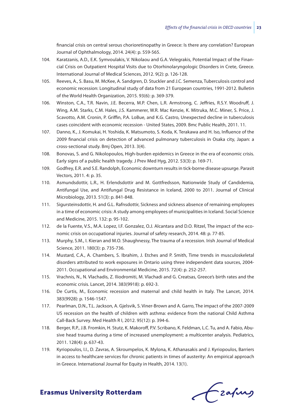financial crisis on central serous chorioretinopathy in Greece: Is there any correlation? European Journal of Ophthalmology, 2014. 24(4): p. 559-565.

- 104. Karatzanis, A.D., E.K. Symvoulakis, V. Nikolaou and G.A. Velegrakis, Potential Impact of the Financial Crisis on Outpatient Hospital Visits due to Otorhinolaryngologic Disorders in Crete, Greece. International Journal of Medical Sciences, 2012. 9(2): p. 126-128.
- 105. Reeves, A., S. Basu, M. McKee, A. Sandgren, D. Stuckler and J.C. Semenza, Tuberculosis control and economic recession: Longitudinal study of data from 21 European countries, 1991-2012. Bulletin of the World Health Organization, 2015. 93(6): p. 369-379.
- 106. Winston, C.A., T.R. Navin, J.E. Becerra, M.P. Chen, L.R. Armstrong, C. Jeffries, R.S.Y. Woodruff, J. Wing, A.M. Starks, C.M. Hales, J.S. Kammerer, W.R. Mac Kenzie, K. Mitruka, M.C. Miner, S. Price, J. Scavotto, A.M. Cronin, P. Griffin, P.A. LoBue, and K.G. Castro, Unexpected decline in tuberculosis cases coincident with economic recession - United States, 2009. Bmc Public Health, 2011. 11.
- 107. Danno, K., J. Komukai, H. Yoshida, K. Matsumoto, S. Koda, K. Terakawa and H. Iso, Influence of the 2009 financial crisis on detection of advanced pulmonary tuberculosis in Osaka city, Japan: a cross-sectional study. Bmj Open, 2013. 3(4).
- 108. Bonovas, S. and G. Nikolopoulos, High-burden epidemics in Greece in the era of economic crisis. Early signs of a public health tragedy. J Prev Med Hyg, 2012. 53(3): p. 169-71.
- 109. Godfrey, E.R. and S.E. Randolph, Economic downturn results in tick-borne disease upsurge. Parasit Vectors, 2011. 4: p. 35.
- 110. Asmundsdottir, L.R., H. Erlendsdottir and M. Gottfredsson, Nationwide Study of Candidemia, Antifungal Use, and Antifungal Drug Resistance in Iceland, 2000 to 2011. Journal of Clinical Microbiology, 2013. 51(3): p. 841-848.
- 111. Sigursteinsdottir, H. and G.L. Rafnsdottir, Sickness and sickness absence of remaining employees in a time of economic crisis: A study among employees of municipalities in Iceland. Social Science and Medicine, 2015. 132: p. 95-102.
- 112. de la Fuente, V.S., M.A. Lopez, I.F. Gonzalez, O.J. Alcantara and D.O. Ritzel, The impact of the economic crisis on occupational injuries. Journal of safety research, 2014. 48: p. 77-85.
- 113. Murphy, S.M., I. Kieran and M.O. Shaughnessy, The trauma of a recession. Irish Journal of Medical Science, 2011. 180(3): p. 735-736.
- 114. Mustard, C.A., A. Chambers, S. Ibrahim, J. Etches and P. Smith, Time trends in musculoskeletal disorders attributed to work exposures in Ontario using three independent data sources, 2004- 2011. Occupational and Environmental Medicine, 2015. 72(4): p. 252-257.
- 115. Vrachnis, N., N. Vlachadis, Z. Iliodromiti, M. Vlachadi and G. Creatsas, Greece's birth rates and the economic crisis. Lancet, 2014. 383(9918): p. 692-3.
- 116. De Curtis, M., Economic recession and maternal and child health in Italy. The Lancet, 2014. 383(9928): p. 1546-1547.
- 117. Pearlman, D.N., T.L. Jackson, A. Gjelsvik, S. Viner-Brown and A. Garro, The impact of the 2007-2009 US recession on the health of children with asthma: evidence from the national Child Asthma Call-Back Survey. Med Health R I, 2012. 95(12): p. 394-6.
- 118. Berger, R.P., J.B. Fromkin, H. Stutz, K. Makoroff, P.V. Scribano, K. Feldman, L.C. Tu, and A. Fabio, Abusive head trauma during a time of increased unemployment: a multicenter analysis. Pediatrics, 2011. 128(4): p. 637-43.
- 119. Kyriopoulos, I.I., D. Zavras, A. Skroumpelos, K. Mylona, K. Athanasakis and J. Kyriopoulos, Barriers in access to healthcare services for chronic patients in times of austerity: An empirical approach in Greece. International Journal for Equity in Health, 2014. 13(1).

Czafing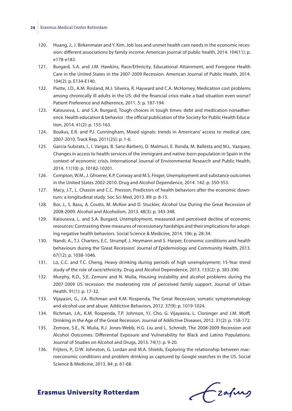- 120. Huang, J., J. Birkenmaier and Y. Kim, Job loss and unmet health care needs in the economic recession: different associations by family income. American journal of public health, 2014. 104(11): p. e178-e183.
- 121. Burgard, S.A. and J.M. Hawkins, Race/Ethnicity, Educational Attainment, and Foregone Health Care in the United States in the 2007-2009 Recession. American Journal of Public Health, 2014. 104(2): p. E134-E140.
- 122. Piette, J.D., A.M. Rosland, M.J. Silveira, R. Hayward and C.A. McHorney, Medication cost problems among chronically ill adults in the US: did the financial crisis make a bad situation even worse? Patient Preference and Adherence, 2011. 5: p. 187-194.
- 123. Kalousova, L. and S.A. Burgard, Tough choices in tough times: debt and medication nonadherence. Health education & behavior : the official publication of the Society for Public Health Education, 2014. 41(2): p. 155-163.
- 124. Boukus, E.R. and P.J. Cunningham, Mixed signals: trends in Americans' access to medical care, 2007-2010. Track Rep, 2011(25): p. 1-6.
- 125. Garcia-Subirats, I., I. Vargas, B. Sanz-Barbero, D. Malmusi, E. Ronda, M. Ballesta and M.L. Vazquez, Changes in access to health services of the immigrant and native-born population in Spain in the context of economic crisis. International Journal of Environmental Research and Public Health, 2014. 11(10): p. 10182-10201.
- 126. Compton, W.M., J. Gfroerer, K.P. Conway and M.S. Finger, Unemployment and substance outcomes in the United States 2002-2010. Drug and Alcohol Dependence, 2014. 142: p. 350-353.
- 127. Macy, J.T., L. Chassin and C.C. Presson, Predictors of health behaviors after the economic downturn: a longitudinal study. Soc Sci Med, 2013. 89: p. 8-15.
- 128. Bor, J., S. Basu, A. Coutts, M. McKee and D. Stuckler, Alcohol Use During the Great Recession of 2008-2009. Alcohol and Alcoholism, 2013. 48(3): p. 343-348.
- 129. Kalousova, L. and S.A. Burgard, Unemployment, measured and perceived decline of economic resources: Contrasting three measures of recessionary hardships and their implications for adopting negative health behaviors. Social Science & Medicine, 2014. 106: p. 28-34.
- 130. Nandi, A., T.J. Charters, E.C. Strumpf, J. Heymann and S. Harper, Economic conditions and health behaviours during the 'Great Recession'. Journal of Epidemiology and Community Health, 2013. 67(12): p. 1038-1046.
- 131. Lo, C.C. and T.C. Cheng, Heavy drinking during periods of high unemployment: 15-Year trend study of the role of race/ethnicity. Drug and Alcohol Dependence, 2013. 133(2): p. 383-390.
- 132. Murphy, R.D., S.E. Zemore and N. Mulia, Housing instability and alcohol problems during the 2007-2009 US recession: the moderating role of perceived family support. Journal of Urban Health. 91(1): p. 17-32.
- 133. Vijayasiri, G., J.A. Richman and K.M. Rospenda, The Great Recession, somatic symptomatology and alcohol use and abuse. Addictive Behaviors, 2012. 37(9): p. 1019-1024.
- 134. Richman, J.A., K.M. Rospenda, T.P. Johnson, Y.I. Cho, G. Vijayasira, L. Cloninger and J.M. Wolff, Drinking in the Age of the Great Recession. Journal of Addictive Diseases, 2012. 31(2): p. 158-172.
- 135. Zemore, S.E., N. Mulia, R.J. Jones-Webb, H.G. Liu and L. Schmidt, The 2008-2009 Recession and Alcohol Outcomes: Differential Exposure and Vulnerability for Black and Latino Populations. Journal of Studies on Alcohol and Drugs, 2013. 74(1): p. 9-20.
- 136. Frijters, P., D.W. Johnston, G. Lordan and M.A. Shields, Exploring the relationship between macroeconomic conditions and problem drinking as captured by Google searches in the US. Social Science & Medicine, 2013. 84: p. 61-68.

Frahing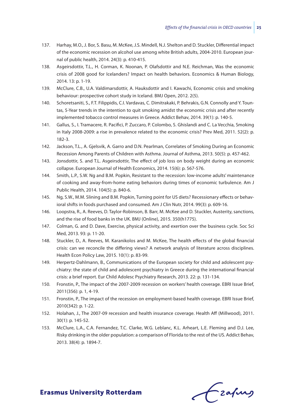- 137. Harhay, M.O., J. Bor, S. Basu, M. McKee, J.S. Mindell, N.J. Shelton and D. Stuckler, Differential impact of the economic recession on alcohol use among white British adults, 2004-2010. European journal of public health, 2014. 24(3): p. 410-415.
- 138. Asgeirsdottir, T.L., H. Corman, K. Noonan, P. Olafsdottir and N.E. Reichman, Was the economic crisis of 2008 good for Icelanders? Impact on health behaviors. Economics & Human Biology, 2014. 13: p. 1-19.
- 139. McClure, C.B., U.A. Valdimarsdottir, A. Hauksdottir and I. Kawachi, Economic crisis and smoking behaviour: prospective cohort study in Iceland. BMJ Open, 2012. 2(5).
- 140. Schoretsaniti, S., F.T. Filippidis, C.I. Vardavas, C. Dimitrakaki, P. Behrakis, G.N. Connolly and Y. Tountas, 5-Year trends in the intention to quit smoking amidst the economic crisis and after recently implemented tobacco control measures in Greece. Addict Behav, 2014. 39(1): p. 140-5.
- 141. Gallus, S., I. Tramacere, R. Pacifici, P. Zuccaro, P. Colombo, S. Ghislandi and C. La Vecchia, Smoking in Italy 2008-2009: a rise in prevalence related to the economic crisis? Prev Med, 2011. 52(2): p. 182-3.
- 142. Jackson, T.L., A. Gjelsvik, A. Garro and D.N. Pearlman, Correlates of Smoking During an Economic Recession Among Parents of Children with Asthma. Journal of Asthma, 2013. 50(5): p. 457-462.
- 143. Jonsdottir, S. and T.L. Asgeirsdottir, The effect of job loss on body weight during an economic collapse. European Journal of Health Economics, 2014. 15(6): p. 567-576.
- 144. Smith, L.P., S.W. Ng and B.M. Popkin, Resistant to the recession: low-income adults' maintenance of cooking and away-from-home eating behaviors during times of economic turbulence. Am J Public Health, 2014. 104(5): p. 840-6.
- 145. Ng, S.W., M.M. Slining and B.M. Popkin, Turning point for US diets? Recessionary effects or behavioral shifts in foods purchased and consumed. Am J Clin Nutr, 2014. 99(3): p. 609-16.
- 146. Loopstra, R., A. Reeves, D. Taylor-Robinson, B. Barr, M. McKee and D. Stuckler, Austerity, sanctions, and the rise of food banks in the UK. BMJ (Online), 2015. 350(h1775).
- 147. Colman, G. and D. Dave, Exercise, physical activity, and exertion over the business cycle. Soc Sci Med, 2013. 93: p. 11-20.
- 148. Stuckler, D., A. Reeves, M. Karanikolos and M. McKee, The health effects of the global financial crisis: can we reconcile the differing views? A network analysis of literature across disciplines. Health Econ Policy Law, 2015. 10(1): p. 83-99.
- 149. Herpertz-Dahlmann, B., Communications of the European society for child and adolescent psychiatry: the state of child and adolescent psychiatry in Greece during the international financial crisis: a brief report. Eur Child Adolesc Psychiatry Research, 2013. 22: p. 131-134.
- 150. Fronstin, P., The impact of the 2007-2009 recession on workers' health coverage. EBRI Issue Brief, 2011(356): p. 1, 4-19.
- 151. Fronstin, P., The impact of the recession on employment-based health coverage. EBRI Issue Brief, 2010(342): p. 1-22.
- 152. Holahan, J., The 2007-09 recession and health insurance coverage. Health Aff (Millwood), 2011. 30(1): p. 145-52.
- 153. McClure, L.A., C.A. Fernandez, T.C. Clarke, W.G. Leblanc, K.L. Arheart, L.E. Fleming and D.J. Lee, Risky drinking in the older population: a comparison of Florida to the rest of the US. Addict Behav, 2013. 38(4): p. 1894-7.

frafing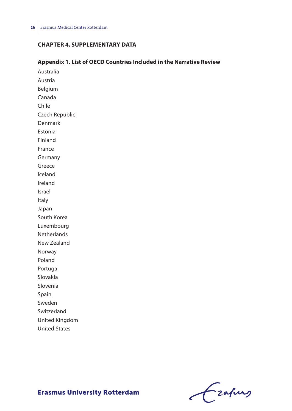# **Chapter 4. Supplementary data**

#### **Appendix 1. List of OECD Countries Included in the Narrative Review**

Australia Austria Belgium Canada Chile Czech Republic Denmark Estonia Finland France Germany Greece Iceland Ireland Israel Italy Japan South Korea Luxembourg **Netherlands** New Zealand Norway Poland Portugal Slovakia Slovenia Spain Sweden Switzerland United Kingdom United States

Frahing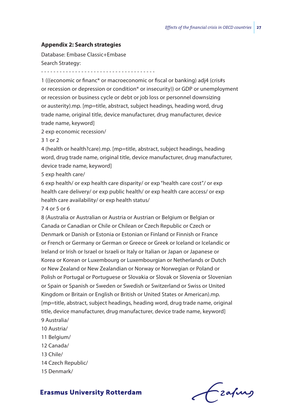#### **Appendix 2: Search strategies**

Database: Embase Classic+Embase Search Strategy:

- - - - - - - - - - - - - - - - - - - - - - - - - - - - - - - - - - - - -

1 (((economic or financ\* or macroeconomic or fiscal or banking) adj4 (cris#s or recession or depression or condition\* or insecurity)) or GDP or unemployment or recession or business cycle or debt or job loss or personnel downsizing or austerity).mp. [mp=title, abstract, subject headings, heading word, drug trade name, original title, device manufacturer, drug manufacturer, device trade name, keyword]

2 exp economic recession/

3 1 or 2

4 (health or health?care).mp. [mp=title, abstract, subject headings, heading word, drug trade name, original title, device manufacturer, drug manufacturer, device trade name, keyword]

5 exp health care/

6 exp health/ or exp health care disparity/ or exp "health care cost"/ or exp health care delivery/ or exp public health/ or exp health care access/ or exp health care availability/ or exp health status/

7 4 or 5 or 6

8 (Australia or Australian or Austria or Austrian or Belgium or Belgian or Canada or Canadian or Chile or Chilean or Czech Republic or Czech or Denmark or Danish or Estonia or Estonian or Finland or Finnish or France or French or Germany or German or Greece or Greek or Iceland or Icelandic or Ireland or Irish or Israel or Israeli or Italy or Italian or Japan or Japanese or Korea or Korean or Luxembourg or Luxembourgian or Netherlands or Dutch or New Zealand or New Zealandian or Norway or Norwegian or Poland or Polish or Portugal or Portuguese or Slovakia or Slovak or Slovenia or Slovenian or Spain or Spanish or Sweden or Swedish or Switzerland or Swiss or United Kingdom or Britain or English or British or United States or American).mp. [mp=title, abstract, subject headings, heading word, drug trade name, original title, device manufacturer, drug manufacturer, device trade name, keyword] 9 Australia/

- 10 Austria/
- 11 Belgium/
- 12 Canada/
- 13 Chile/
- 14 Czech Republic/
- 15 Denmark/



-zafurs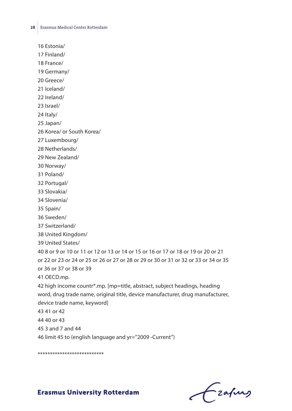16 Estonia/

17 Finland/

18 France/

19 Germany/

20 Greece/

21 Iceland/

22 Ireland/

23 Israel/

24 Italy/

25 Japan/

26 Korea/ or South Korea/

27 Luxembourg/

28 Netherlands/

29 New Zealand/

30 Norway/

31 Poland/

32 Portugal/

33 Slovakia/

34 Slovenia/

35 Spain/

36 Sweden/

37 Switzerland/

38 United Kingdom/

39 United States/

40 8 or 9 or 10 or 11 or 12 or 13 or 14 or 15 or 16 or 17 or 18 or 19 or 20 or 21 or 22 or 23 or 24 or 25 or 26 or 27 or 28 or 29 or 30 or 31 or 32 or 33 or 34 or 35

or 36 or 37 or 38 or 39

41 OECD.mp.

42 high income countr\*.mp. [mp=title, abstract, subject headings, heading word, drug trade name, original title, device manufacturer, drug manufacturer, device trade name, keyword]

43 41 or 42

44 40 or 43

45 3 and 7 and 44

46 limit 45 to (english language and yr="2009 -Current")

\*\*\*\*\*\*\*\*\*\*\*\*\*\*\*\*\*\*\*\*\*\*\*\*\*\*\*

 $f$  zafung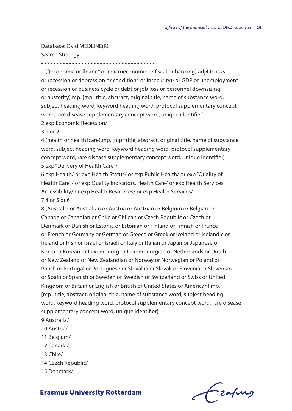Database: Ovid MEDLINE(R) Search Strategy:

- - - - - - - - - - - - - - - - - - - - - - - - - - - - - - - - - - - - -

1 (((economic or financ\* or macroeconomic or fiscal or banking) adj4 (cris#s or recession or depression or condition\* or insecurity)) or GDP or unemployment or recession or business cycle or debt or job loss or personnel downsizing or austerity).mp. [mp=title, abstract, original title, name of substance word, subject heading word, keyword heading word, protocol supplementary concept word, rare disease supplementary concept word, unique identifier] 2 exp Economic Recession/

3 1 or 2

4 (health or health?care).mp. [mp=title, abstract, original title, name of substance word, subject heading word, keyword heading word, protocol supplementary concept word, rare disease supplementary concept word, unique identifier] 5 exp "Delivery of Health Care"/

6 exp Health/ or exp Health Status/ or exp Public Health/ or exp "Quality of Health Care"/ or exp Quality Indicators, Health Care/ or exp Health Services Accessibility/ or exp Health Resources/ or exp Health Services/ 7 4 or 5 or 6

8 (Australia or Australian or Austria or Austrian or Belgium or Belgian or Canada or Canadian or Chile or Chilean or Czech Republic or Czech or Denmark or Danish or Estonia or Estonian or Finland or Finnish or France or French or Germany or German or Greece or Greek or Iceland or Icelandic or Ireland or Irish or Israel or Israeli or Italy or Italian or Japan or Japanese or Korea or Korean or Luxembourg or Luxembourgian or Netherlands or Dutch or New Zealand or New Zealandian or Norway or Norwegian or Poland or Polish or Portugal or Portuguese or Slovakia or Slovak or Slovenia or Slovenian or Spain or Spanish or Sweden or Swedish or Switzerland or Swiss or United Kingdom or Britain or English or British or United States or American).mp. [mp=title, abstract, original title, name of substance word, subject heading word, keyword heading word, protocol supplementary concept word, rare disease supplementary concept word, unique identifier]

- 9 Australia/
- 10 Austria/
- 11 Belgium/
- 12 Canada/
- 13 Chile/
- 14 Czech Republic/
- 15 Denmark/

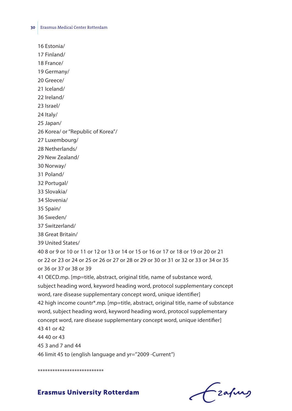16 Estonia/

17 Finland/

18 France/

19 Germany/

20 Greece/

21 Iceland/

22 Ireland/

23 Israel/

24 Italy/

25 Japan/

26 Korea/ or "Republic of Korea"/

27 Luxembourg/

28 Netherlands/

29 New Zealand/

30 Norway/

31 Poland/

32 Portugal/

33 Slovakia/

34 Slovenia/

35 Spain/

36 Sweden/

37 Switzerland/

38 Great Britain/

39 United States/

40 8 or 9 or 10 or 11 or 12 or 13 or 14 or 15 or 16 or 17 or 18 or 19 or 20 or 21 or 22 or 23 or 24 or 25 or 26 or 27 or 28 or 29 or 30 or 31 or 32 or 33 or 34 or 35 or 36 or 37 or 38 or 39

41 OECD.mp. [mp=title, abstract, original title, name of substance word, subject heading word, keyword heading word, protocol supplementary concept word, rare disease supplementary concept word, unique identifier] 42 high income countr\*.mp. [mp=title, abstract, original title, name of substance word, subject heading word, keyword heading word, protocol supplementary concept word, rare disease supplementary concept word, unique identifier]

43 41 or 42

44 40 or 43

45 3 and 7 and 44

46 limit 45 to (english language and yr="2009 -Current")

\*\*\*\*\*\*\*\*\*\*\*\*\*\*\*\*\*\*\*\*\*\*\*\*\*\*\*

Frafing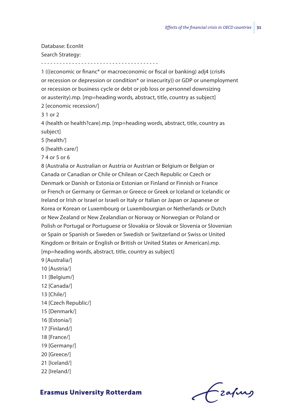Database: Econlit Search Strategy:

1 (((economic or financ\* or macroeconomic or fiscal or banking) adj4 (cris#s or recession or depression or condition\* or insecurity)) or GDP or unemployment or recession or business cycle or debt or job loss or personnel downsizing or austerity).mp. [mp=heading words, abstract, title, country as subject] 2 [economic recession/]

3 1 or 2

4 (health or health?care).mp. [mp=heading words, abstract, title, country as subject]

5 [health/]

6 [health care/]

7 4 or 5 or 6

8 (Australia or Australian or Austria or Austrian or Belgium or Belgian or Canada or Canadian or Chile or Chilean or Czech Republic or Czech or Denmark or Danish or Estonia or Estonian or Finland or Finnish or France or French or Germany or German or Greece or Greek or Iceland or Icelandic or Ireland or Irish or Israel or Israeli or Italy or Italian or Japan or Japanese or Korea or Korean or Luxembourg or Luxembourgian or Netherlands or Dutch or New Zealand or New Zealandian or Norway or Norwegian or Poland or Polish or Portugal or Portuguese or Slovakia or Slovak or Slovenia or Slovenian or Spain or Spanish or Sweden or Swedish or Switzerland or Swiss or United Kingdom or Britain or English or British or United States or American).mp. [mp=heading words, abstract, title, country as subject]

9 [Australia/]

- 10 [Austria/]
- 11 [Belgium/]
- 12 [Canada/]
- 13 [Chile/]
- 14 [Czech Republic/]
- 15 [Denmark/]
- 16 [Estonia/]
- 17 [Finland/]
- 18 [France/]
- 19 [Germany/]
- 20 [Greece/]
- 21 [Iceland/]
- 22 [Ireland/]